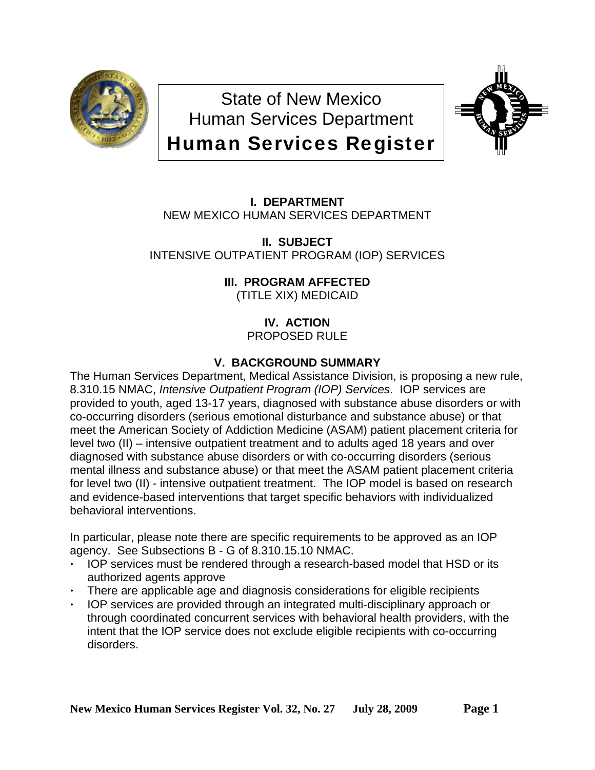

State of New Mexico Human Services Department Human Services Register



**I. DEPARTMENT** NEW MEXICO HUMAN SERVICES DEPARTMENT

**II. SUBJECT** INTENSIVE OUTPATIENT PROGRAM (IOP) SERVICES

**III. PROGRAM AFFECTED**

(TITLE XIX) MEDICAID

**IV. ACTION** PROPOSED RULE

# **V. BACKGROUND SUMMARY**

The Human Services Department, Medical Assistance Division, is proposing a new rule, 8.310.15 NMAC, *Intensive Outpatient Program (IOP) Services*. IOP services are provided to youth, aged 13-17 years, diagnosed with substance abuse disorders or with co-occurring disorders (serious emotional disturbance and substance abuse) or that meet the American Society of Addiction Medicine (ASAM) patient placement criteria for level two (II) – intensive outpatient treatment and to adults aged 18 years and over diagnosed with substance abuse disorders or with co-occurring disorders (serious mental illness and substance abuse) or that meet the ASAM patient placement criteria for level two (II) - intensive outpatient treatment. The IOP model is based on research and evidence-based interventions that target specific behaviors with individualized behavioral interventions.

In particular, please note there are specific requirements to be approved as an IOP agency. See Subsections B - G of 8.310.15.10 NMAC.

- IOP services must be rendered through a research-based model that HSD or its authorized agents approve
- There are applicable age and diagnosis considerations for eligible recipients
- IOP services are provided through an integrated multi-disciplinary approach or through coordinated concurrent services with behavioral health providers, with the intent that the IOP service does not exclude eligible recipients with co-occurring disorders.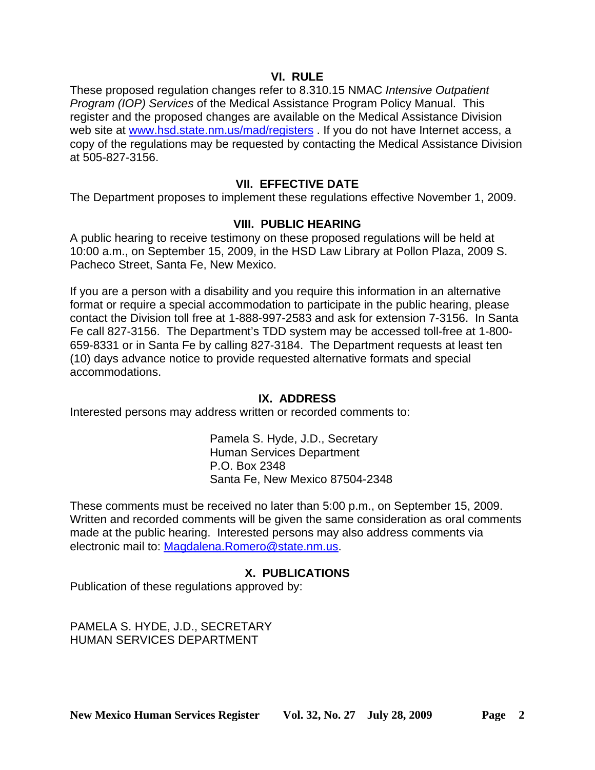### **VI. RULE**

These proposed regulation changes refer to 8.310.15 NMAC *Intensive Outpatient Program (IOP) Services* of the Medical Assistance Program Policy Manual. This register and the proposed changes are available on the Medical Assistance Division web site at [www.hsd.state.nm.us/mad/registers](http://www.hsd.state.nm.us/mad/registers) . If you do not have Internet access, a copy of the regulations may be requested by contacting the Medical Assistance Division at 505-827-3156.

### **VII. EFFECTIVE DATE**

The Department proposes to implement these regulations effective November 1, 2009.

### **VIII. PUBLIC HEARING**

A public hearing to receive testimony on these proposed regulations will be held at 10:00 a.m., on September 15, 2009, in the HSD Law Library at Pollon Plaza, 2009 S. Pacheco Street, Santa Fe, New Mexico.

If you are a person with a disability and you require this information in an alternative format or require a special accommodation to participate in the public hearing, please contact the Division toll free at 1-888-997-2583 and ask for extension 7-3156. In Santa Fe call 827-3156. The Department's TDD system may be accessed toll-free at 1-800- 659-8331 or in Santa Fe by calling 827-3184. The Department requests at least ten (10) days advance notice to provide requested alternative formats and special accommodations.

### **IX. ADDRESS**

Interested persons may address written or recorded comments to:

Pamela S. Hyde, J.D., Secretary Human Services Department P.O. Box 2348 Santa Fe, New Mexico 87504-2348

These comments must be received no later than 5:00 p.m., on September 15, 2009. Written and recorded comments will be given the same consideration as oral comments made at the public hearing. Interested persons may also address comments via electronic mail to: [Magdalena.Romero@state.nm.us](mailto:Magdalena.Romero@state.nm.us).

## **X. PUBLICATIONS**

Publication of these regulations approved by:

PAMELA S. HYDE, J.D., SECRETARY HUMAN SERVICES DEPARTMENT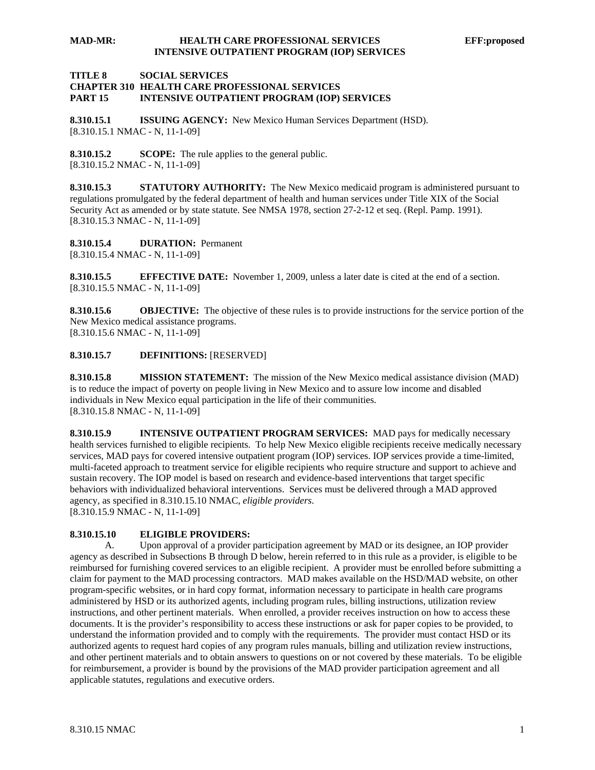#### **MAD-MR: HEALTH CARE PROFESSIONAL SERVICES EFF:proposed INTENSIVE OUTPATIENT PROGRAM (IOP) SERVICES**

#### **TITLE 8 SOCIAL SERVICES CHAPTER 310 HEALTH CARE PROFESSIONAL SERVICES PART 15 INTENSIVE OUTPATIENT PROGRAM (IOP) SERVICES**

**8.310.15.1 ISSUING AGENCY:** New Mexico Human Services Department (HSD). [8.310.15.1 NMAC - N, 11-1-09]

**8.310.15.2 SCOPE:** The rule applies to the general public. [8.310.15.2 NMAC - N, 11-1-09]

**8.310.15.3 STATUTORY AUTHORITY:** The New Mexico medicaid program is administered pursuant to regulations promulgated by the federal department of health and human services under Title XIX of the Social Security Act as amended or by state statute. See NMSA 1978, section 27-2-12 et seq. (Repl. Pamp. 1991). [8.310.15.3 NMAC - N, 11-1-09]

**8.310.15.4 DURATION:** Permanent [8.310.15.4 NMAC - N, 11-1-09]

**8.310.15.5 EFFECTIVE DATE:** November 1, 2009, unless a later date is cited at the end of a section. [8.310.15.5 NMAC - N, 11-1-09]

**8.310.15.6 OBJECTIVE:** The objective of these rules is to provide instructions for the service portion of the New Mexico medical assistance programs. [8.310.15.6 NMAC - N, 11-1-09]

#### **8.310.15.7 DEFINITIONS:** [RESERVED]

**8.310.15.8 MISSION STATEMENT:** The mission of the New Mexico medical assistance division (MAD) is to reduce the impact of poverty on people living in New Mexico and to assure low income and disabled individuals in New Mexico equal participation in the life of their communities. [8.310.15.8 NMAC - N, 11-1-09]

**8.310.15.9 INTENSIVE OUTPATIENT PROGRAM SERVICES:** MAD pays for medically necessary health services furnished to eligible recipients. To help New Mexico eligible recipients receive medically necessary services, MAD pays for covered intensive outpatient program (IOP) services. IOP services provide a time-limited, multi-faceted approach to treatment service for eligible recipients who require structure and support to achieve and sustain recovery. The IOP model is based on research and evidence-based interventions that target specific behaviors with individualized behavioral interventions. Services must be delivered through a MAD approved agency, as specified in 8.310.15.10 NMAC, *eligible providers*. [8.310.15.9 NMAC - N, 11-1-09]

#### **8.310.15.10 ELIGIBLE PROVIDERS:**

 A. Upon approval of a provider participation agreement by MAD or its designee, an IOP provider agency as described in Subsections B through D below, herein referred to in this rule as a provider, is eligible to be reimbursed for furnishing covered services to an eligible recipient. A provider must be enrolled before submitting a claim for payment to the MAD processing contractors. MAD makes available on the HSD/MAD website, on other program-specific websites, or in hard copy format, information necessary to participate in health care programs administered by HSD or its authorized agents, including program rules, billing instructions, utilization review instructions, and other pertinent materials. When enrolled, a provider receives instruction on how to access these documents. It is the provider's responsibility to access these instructions or ask for paper copies to be provided, to understand the information provided and to comply with the requirements. The provider must contact HSD or its authorized agents to request hard copies of any program rules manuals, billing and utilization review instructions, and other pertinent materials and to obtain answers to questions on or not covered by these materials. To be eligible for reimbursement, a provider is bound by the provisions of the MAD provider participation agreement and all applicable statutes, regulations and executive orders.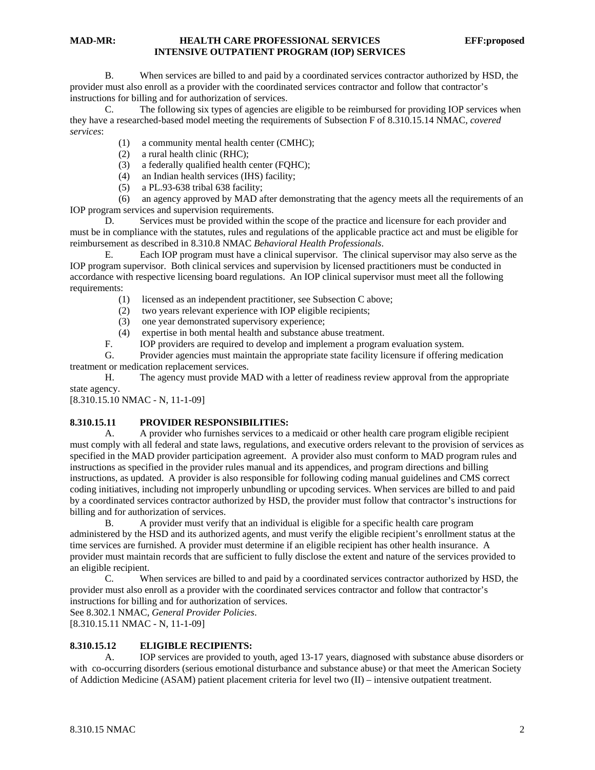B. When services are billed to and paid by a coordinated services contractor authorized by HSD, the provider must also enroll as a provider with the coordinated services contractor and follow that contractor's instructions for billing and for authorization of services.

 C. The following six types of agencies are eligible to be reimbursed for providing IOP services when they have a researched-based model meeting the requirements of Subsection F of 8.310.15.14 NMAC, *covered services*:

- (1) a community mental health center (CMHC);
- (2) a rural health clinic (RHC);
- (3) a federally qualified health center (FQHC);
- (4) an Indian health services (IHS) facility;
- (5) a PL.93-638 tribal 638 facility;

 (6) an agency approved by MAD after demonstrating that the agency meets all the requirements of an IOP program services and supervision requirements.

 D. Services must be provided within the scope of the practice and licensure for each provider and must be in compliance with the statutes, rules and regulations of the applicable practice act and must be eligible for reimbursement as described in 8.310.8 NMAC *Behavioral Health Professionals*.

 E. Each IOP program must have a clinical supervisor. The clinical supervisor may also serve as the IOP program supervisor. Both clinical services and supervision by licensed practitioners must be conducted in accordance with respective licensing board regulations. An IOP clinical supervisor must meet all the following requirements:

- (1) licensed as an independent practitioner, see Subsection C above;
- (2) two years relevant experience with IOP eligible recipients;
- (3) one year demonstrated supervisory experience;
- (4) expertise in both mental health and substance abuse treatment.<br>F. **IOP** providers are required to develop and implement a program
	- F. IOP providers are required to develop and implement a program evaluation system.

 G. Provider agencies must maintain the appropriate state facility licensure if offering medication treatment or medication replacement services.

 H. The agency must provide MAD with a letter of readiness review approval from the appropriate state agency.

[8.310.15.10 NMAC - N, 11-1-09]

### **8.310.15.11 PROVIDER RESPONSIBILITIES:**

 A. A provider who furnishes services to a medicaid or other health care program eligible recipient must comply with all federal and state laws, regulations, and executive orders relevant to the provision of services as specified in the MAD provider participation agreement. A provider also must conform to MAD program rules and instructions as specified in the provider rules manual and its appendices, and program directions and billing instructions, as updated. A provider is also responsible for following coding manual guidelines and CMS correct coding initiatives, including not improperly unbundling or upcoding services. When services are billed to and paid by a coordinated services contractor authorized by HSD, the provider must follow that contractor's instructions for billing and for authorization of services.

 B. A provider must verify that an individual is eligible for a specific health care program administered by the HSD and its authorized agents, and must verify the eligible recipient's enrollment status at the time services are furnished. A provider must determine if an eligible recipient has other health insurance. A provider must maintain records that are sufficient to fully disclose the extent and nature of the services provided to an eligible recipient.

 C. When services are billed to and paid by a coordinated services contractor authorized by HSD, the provider must also enroll as a provider with the coordinated services contractor and follow that contractor's instructions for billing and for authorization of services.

See 8.302.1 NMAC, *General Provider Policies*.

[8.310.15.11 NMAC - N, 11-1-09]

#### **8.310.15.12 ELIGIBLE RECIPIENTS:**

 A. IOP services are provided to youth, aged 13-17 years, diagnosed with substance abuse disorders or with co-occurring disorders (serious emotional disturbance and substance abuse) or that meet the American Society of Addiction Medicine (ASAM) patient placement criteria for level two (II) – intensive outpatient treatment.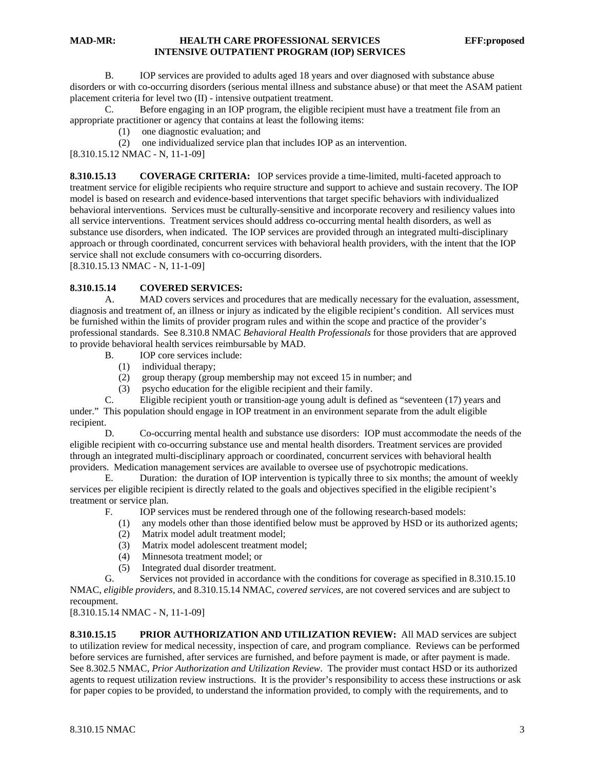#### **MAD-MR: HEALTH CARE PROFESSIONAL SERVICES EFF:proposed INTENSIVE OUTPATIENT PROGRAM (IOP) SERVICES**

 B. IOP services are provided to adults aged 18 years and over diagnosed with substance abuse disorders or with co-occurring disorders (serious mental illness and substance abuse) or that meet the ASAM patient placement criteria for level two (II) - intensive outpatient treatment.

 C. Before engaging in an IOP program, the eligible recipient must have a treatment file from an appropriate practitioner or agency that contains at least the following items:

- (1) one diagnostic evaluation; and
- (2) one individualized service plan that includes IOP as an intervention.

[8.310.15.12 NMAC - N, 11-1-09]

**8.310.15.13 COVERAGE CRITERIA:** IOP services provide a time-limited, multi-faceted approach to treatment service for eligible recipients who require structure and support to achieve and sustain recovery. The IOP model is based on research and evidence-based interventions that target specific behaviors with individualized behavioral interventions. Services must be culturally-sensitive and incorporate recovery and resiliency values into all service interventions. Treatment services should address co-occurring mental health disorders, as well as substance use disorders, when indicated. The IOP services are provided through an integrated multi-disciplinary approach or through coordinated, concurrent services with behavioral health providers, with the intent that the IOP service shall not exclude consumers with co-occurring disorders.

[8.310.15.13 NMAC - N, 11-1-09]

#### **8.310.15.14 COVERED SERVICES:**

 A. MAD covers services and procedures that are medically necessary for the evaluation, assessment, diagnosis and treatment of, an illness or injury as indicated by the eligible recipient's condition. All services must be furnished within the limits of provider program rules and within the scope and practice of the provider's professional standards. See 8.310.8 NMAC *Behavioral Health Professionals* for those providers that are approved to provide behavioral health services reimbursable by MAD.

- B. IOP core services include:
	- (1) individual therapy;
	- (2) group therapy (group membership may not exceed 15 in number; and
	- (3) psycho education for the eligible recipient and their family.

 C. Eligible recipient youth or transition-age young adult is defined as "seventeen (17) years and under." This population should engage in IOP treatment in an environment separate from the adult eligible recipient.

 D. Co-occurring mental health and substance use disorders: IOP must accommodate the needs of the eligible recipient with co-occurring substance use and mental health disorders. Treatment services are provided through an integrated multi-disciplinary approach or coordinated, concurrent services with behavioral health providers. Medication management services are available to oversee use of psychotropic medications.

 E. Duration: the duration of IOP intervention is typically three to six months; the amount of weekly services per eligible recipient is directly related to the goals and objectives specified in the eligible recipient's treatment or service plan.

- F. IOP services must be rendered through one of the following research-based models:
	- (1) any models other than those identified below must be approved by HSD or its authorized agents;
	- (2) Matrix model adult treatment model;
	- (3) Matrix model adolescent treatment model;
	- (4) Minnesota treatment model; or
	- (5) Integrated dual disorder treatment.

 G. Services not provided in accordance with the conditions for coverage as specified in 8.310.15.10 NMAC, *eligible providers,* and 8.310.15.14 NMAC*, covered services,* are not covered services and are subject to recoupment.

[8.310.15.14 NMAC - N, 11-1-09]

**8.310.15.15 PRIOR AUTHORIZATION AND UTILIZATION REVIEW:** All MAD services are subject to utilization review for medical necessity, inspection of care, and program compliance. Reviews can be performed before services are furnished, after services are furnished, and before payment is made, or after payment is made. See 8.302.5 NMAC, *Prior Authorization and Utilization Review*. The provider must contact HSD or its authorized agents to request utilization review instructions. It is the provider's responsibility to access these instructions or ask for paper copies to be provided, to understand the information provided, to comply with the requirements, and to